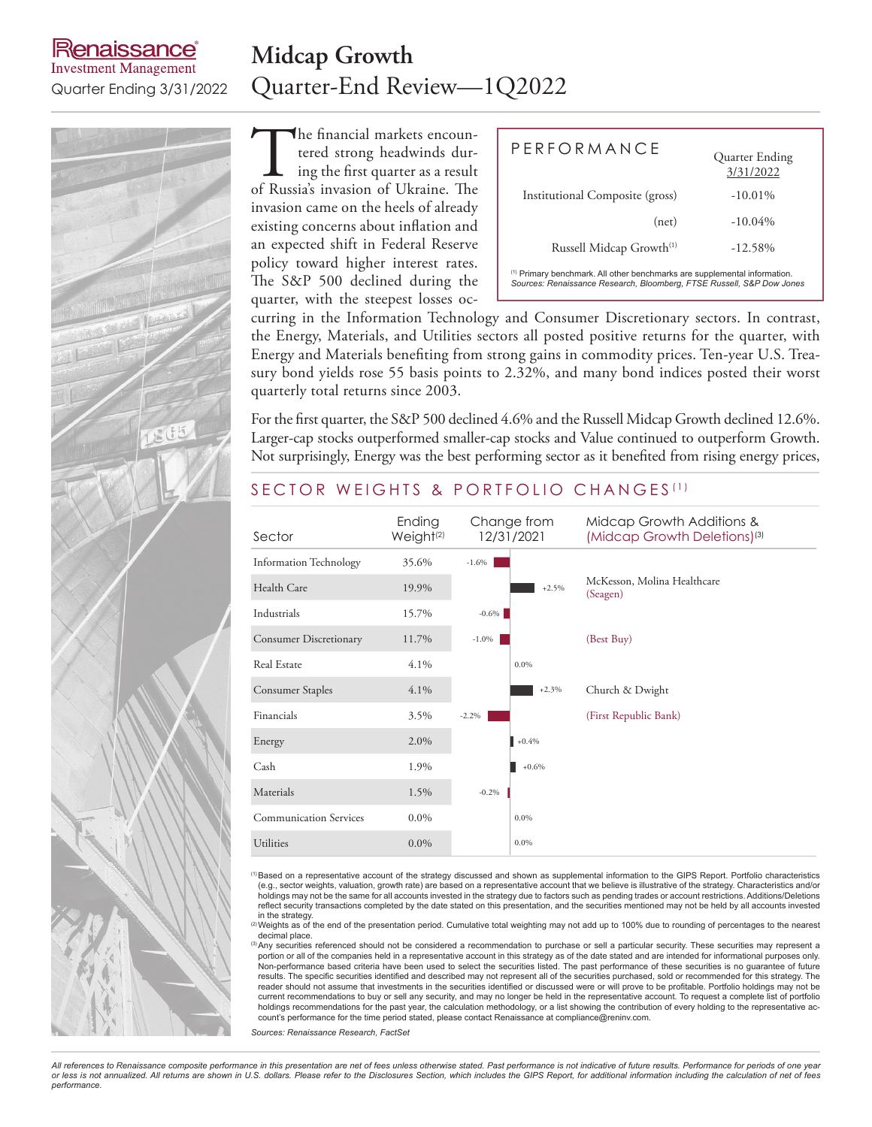### **Renaissance Investment Management**

## **Midcap Growth** Quarter Ending 3/31/2022 Quarter-End Review—1Q2022

The financial markets encountered strong headwinds during the first quarter as a result of Russia's invasion of Ukraine. The tered strong headwinds during the first quarter as a result invasion came on the heels of already existing concerns about inflation and an expected shift in Federal Reserve policy toward higher interest rates. The S&P 500 declined during the quarter, with the steepest losses oc-

| $P$ FRFORMANCF                                                                                                                                                | Quarter Ending<br>3/31/2022 |  |  |  |  |  |
|---------------------------------------------------------------------------------------------------------------------------------------------------------------|-----------------------------|--|--|--|--|--|
| Institutional Composite (gross)                                                                                                                               | $-10.01\%$                  |  |  |  |  |  |
| (net)                                                                                                                                                         | $-10.04\%$                  |  |  |  |  |  |
| Russell Midcap Growth <sup>(1)</sup>                                                                                                                          | $-12.58%$                   |  |  |  |  |  |
| <sup>(1)</sup> Primary benchmark. All other benchmarks are supplemental information.<br>Sources: Renaissance Research, Bloomberg, FTSE Russell, S&P Dow Jones |                             |  |  |  |  |  |

curring in the Information Technology and Consumer Discretionary sectors. In contrast, the Energy, Materials, and Utilities sectors all posted positive returns for the quarter, with Energy and Materials benefiting from strong gains in commodity prices. Ten-year U.S. Treasury bond yields rose 55 basis points to 2.32%, and many bond indices posted their worst quarterly total returns since 2003.

For the first quarter, the S&P 500 declined 4.6% and the Russell Midcap Growth declined 12.6%. Larger-cap stocks outperformed smaller-cap stocks and Value continued to outperform Growth. Not surprisingly, Energy was the best performing sector as it benefited from rising energy prices,

### SECTOR WEIGHTS & PORTFOLIO CHANGES<sup>(1)</sup>

| Sector                        | Ending<br>Weight <sup>(2)</sup> | Change from<br>12/31/2021 |         | Midcap Growth Additions &<br>(Midcap Growth Deletions) <sup>(3)</sup> |  |  |
|-------------------------------|---------------------------------|---------------------------|---------|-----------------------------------------------------------------------|--|--|
| <b>Information Technology</b> | 35.6%                           | $-1.6%$                   |         |                                                                       |  |  |
| Health Care                   | 19.9%                           |                           | $+2.5%$ | McKesson, Molina Healthcare<br>(Seagen)                               |  |  |
| Industrials                   | 15.7%                           | $-0.6\%$                  |         |                                                                       |  |  |
| <b>Consumer Discretionary</b> | 11.7%                           | $-1.0\%$                  |         | (Best Buy)                                                            |  |  |
| Real Estate                   | 4.1%                            |                           | $0.0\%$ |                                                                       |  |  |
| Consumer Staples              | 4.1%                            |                           | $+2.3%$ | Church & Dwight                                                       |  |  |
| Financials                    | 3.5%                            | $-2.2%$                   |         | (First Republic Bank)                                                 |  |  |
| Energy                        | 2.0%                            |                           | $+0.4%$ |                                                                       |  |  |
| Cash                          | 1.9%                            |                           | $+0.6%$ |                                                                       |  |  |
| Materials                     | 1.5%                            | $-0.2%$                   |         |                                                                       |  |  |
| <b>Communication Services</b> | $0.0\%$                         |                           | 0.0%    |                                                                       |  |  |
| <b>Utilities</b>              | $0.0\%$                         |                           | $0.0\%$ |                                                                       |  |  |

(1)Based on a representative account of the strategy discussed and shown as supplemental information to the GIPS Report. Portfolio characteristics (e.g., sector weights, valuation, growth rate) are based on a representative account that we believe is illustrative of the strategy. Characteristics and/or holdings may not be the same for all accounts invested in the strategy due to factors such as pending trades or account restrictions. Additions/Deletions<br>reflect security transactions completed by the date stated on this p

in the strategy.<br>⑵Weights as of the end of the presentation period. Cumulative total weighting may not add up to 100% due to rounding of percentages to the nearest decimal place.

<sup>(3)</sup>Any securities referenced should not be considered a recommendation to purchase or sell a particular security. These securities may represent a portion or all of the companies held in a representative account in this strategy as of the date stated and are intended for informational purposes only.<br>Non-performance based criteria have been used to select the securiti results. The specific securities identified and described may not represent all of the securities purchased, sold or recommended for this strategy. The reader should not assume that investments in the securities identified or discussed were or will prove to be profitable. Portfolio holdings may not be current recommendations to buy or sell any security, and may no longer be held in the representative account. To request a complete list of portfolio holdings recommendations for the past year, the calculation methodology, or a list showing the contribution of every holding to the representative account's performance for the time period stated, please contact Renaissance at compliance@reninv.com.

*Sources: Renaissance Research, FactSet*

*All references to Renaissance composite performance in this presentation are net of fees unless otherwise stated. Past performance is not indicative of future results. Performance for periods of one year or less is not annualized. All returns are shown in U.S. dollars. Please refer to the Disclosures Section, which includes the GIPS Report, for additional information including the calculation of net of fees performance.*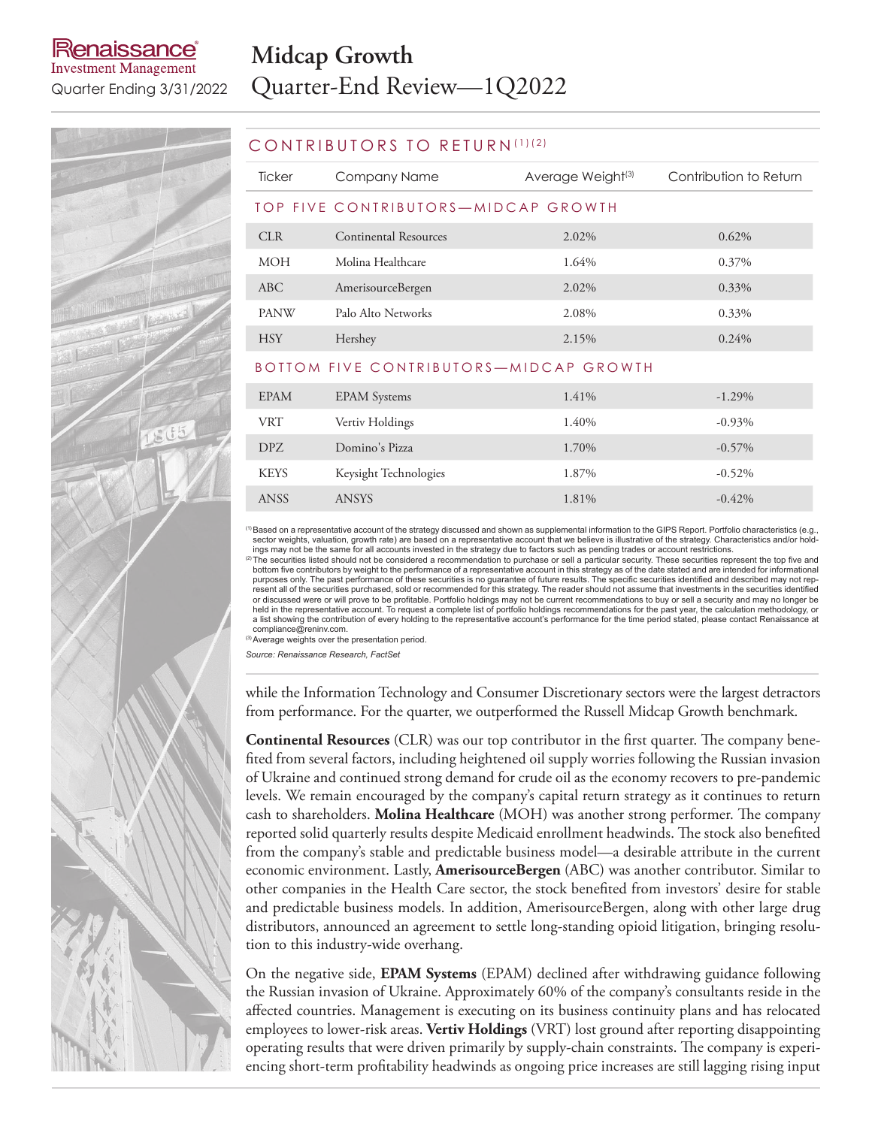## **Investment Management**

# **Midcap Growth** Quarter Ending 3/31/2022 Quarter-End Review—1Q2022

### CONTRIBUTORS TO RETURN (1)(2)

| Ticker                                             | Company Name          | Average Weight <sup>(3)</sup> | Contribution to Return |  |  |  |
|----------------------------------------------------|-----------------------|-------------------------------|------------------------|--|--|--|
| TOP FIVE CONTRIBUTORS-MIDCAP GROWTH                |                       |                               |                        |  |  |  |
| <b>CLR</b>                                         | Continental Resources | 2.02%                         | $0.62\%$               |  |  |  |
| <b>MOH</b>                                         | Molina Healthcare     | 1.64%                         | 0.37%                  |  |  |  |
| ABC                                                | AmerisourceBergen     | 2.02%                         | 0.33%                  |  |  |  |
| <b>PANW</b>                                        | Palo Alto Networks    | 2.08%                         | 0.33%                  |  |  |  |
| <b>HSY</b>                                         | Hershey               | 2.15%                         | 0.24%                  |  |  |  |
| <b>TTOM FIVE CONTRIBUTORS-MIDCAP GROWTH</b><br>R O |                       |                               |                        |  |  |  |

| <b>EPAM</b> | <b>EPAM</b> Systems   | 1.41% | $-1.29\%$ |
|-------------|-----------------------|-------|-----------|
| <b>VRT</b>  | Vertiv Holdings       | 1.40% | $-0.93\%$ |
| DPZ         | Domino's Pizza        | 1.70% | $-0.57\%$ |
| <b>KEYS</b> | Keysight Technologies | 1.87% | $-0.52\%$ |
| <b>ANSS</b> | <b>ANSYS</b>          | 1.81% | $-0.42%$  |

(1)Based on a representative account of the strategy discussed and shown as supplemental information to the GIPS Report. Portfolio characteristics (e.g., sector weights, valuation, growth rate) are based on a representative account that we believe is illustrative of the strategy. Characteristics and/or hold-

ings may not be the same for all accounts invested in the strategy due to factors such as pending trades or account restrictions.<br><sup>(2)</sup>The securities listed should not be considered a recommendation to purchase or sell a p bottom five contributors by weight to the performance of a representative account in this strategy as of the date stated and are intended for informational<br>purposes only. The past performance of these securities is no guar or discussed were or will prove to be profitable. Portfolio holdings may not be current recommendations to buy or sell a security and may no longer be<br>held in the representative account. To request a complete list of portf

compliance@reninv.com.<br><sup>(3)</sup>Average weights over the presentation period.

*Source: Renaissance Research, FactSet*

while the Information Technology and Consumer Discretionary sectors were the largest detractors from performance. For the quarter, we outperformed the Russell Midcap Growth benchmark.

**Continental Resources** (CLR) was our top contributor in the first quarter. The company benefited from several factors, including heightened oil supply worries following the Russian invasion of Ukraine and continued strong demand for crude oil as the economy recovers to pre-pandemic levels. We remain encouraged by the company's capital return strategy as it continues to return cash to shareholders. **Molina Healthcare** (MOH) was another strong performer. The company reported solid quarterly results despite Medicaid enrollment headwinds. The stock also benefited from the company's stable and predictable business model—a desirable attribute in the current economic environment. Lastly, **AmerisourceBergen** (ABC) was another contributor. Similar to other companies in the Health Care sector, the stock benefited from investors' desire for stable and predictable business models. In addition, AmerisourceBergen, along with other large drug distributors, announced an agreement to settle long-standing opioid litigation, bringing resolution to this industry-wide overhang.

On the negative side, **EPAM Systems** (EPAM) declined after withdrawing guidance following the Russian invasion of Ukraine. Approximately 60% of the company's consultants reside in the affected countries. Management is executing on its business continuity plans and has relocated employees to lower-risk areas. **Vertiv Holdings** (VRT) lost ground after reporting disappointing operating results that were driven primarily by supply-chain constraints. The company is experiencing short-term profitability headwinds as ongoing price increases are still lagging rising input

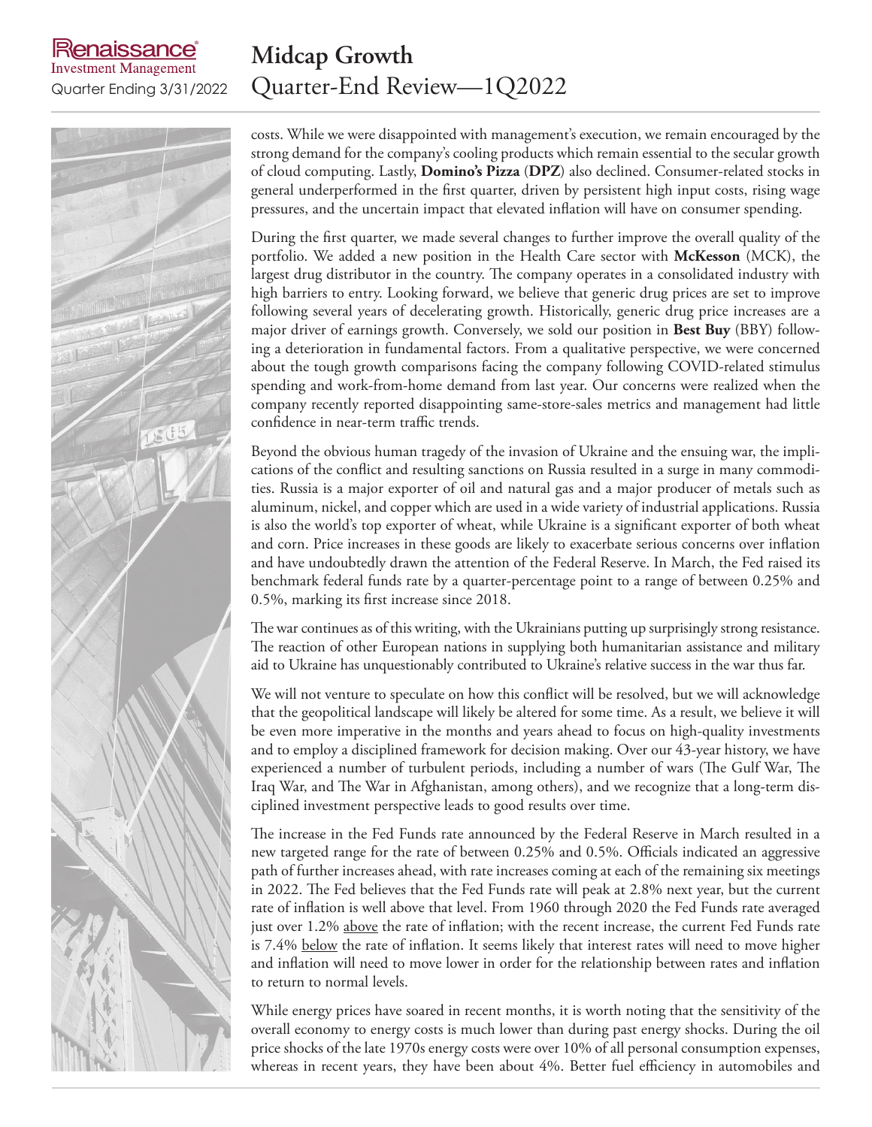## enaissance **Investment Management**

## **Midcap Growth** Quarter Ending 3/31/2022 Quarter-End Review—1Q2022

costs. While we were disappointed with management's execution, we remain encouraged by the strong demand for the company's cooling products which remain essential to the secular growth of cloud computing. Lastly, **Domino's Pizza** (**DPZ**) also declined. Consumer-related stocks in general underperformed in the first quarter, driven by persistent high input costs, rising wage pressures, and the uncertain impact that elevated inflation will have on consumer spending.

During the first quarter, we made several changes to further improve the overall quality of the portfolio. We added a new position in the Health Care sector with **McKesson** (MCK), the largest drug distributor in the country. The company operates in a consolidated industry with high barriers to entry. Looking forward, we believe that generic drug prices are set to improve following several years of decelerating growth. Historically, generic drug price increases are a major driver of earnings growth. Conversely, we sold our position in **Best Buy** (BBY) following a deterioration in fundamental factors. From a qualitative perspective, we were concerned about the tough growth comparisons facing the company following COVID-related stimulus spending and work-from-home demand from last year. Our concerns were realized when the company recently reported disappointing same-store-sales metrics and management had little confidence in near-term traffic trends.

Beyond the obvious human tragedy of the invasion of Ukraine and the ensuing war, the implications of the conflict and resulting sanctions on Russia resulted in a surge in many commodities. Russia is a major exporter of oil and natural gas and a major producer of metals such as aluminum, nickel, and copper which are used in a wide variety of industrial applications. Russia is also the world's top exporter of wheat, while Ukraine is a significant exporter of both wheat and corn. Price increases in these goods are likely to exacerbate serious concerns over inflation and have undoubtedly drawn the attention of the Federal Reserve. In March, the Fed raised its benchmark federal funds rate by a quarter-percentage point to a range of between 0.25% and 0.5%, marking its first increase since 2018.

The war continues as of this writing, with the Ukrainians putting up surprisingly strong resistance. The reaction of other European nations in supplying both humanitarian assistance and military aid to Ukraine has unquestionably contributed to Ukraine's relative success in the war thus far.

We will not venture to speculate on how this conflict will be resolved, but we will acknowledge that the geopolitical landscape will likely be altered for some time. As a result, we believe it will be even more imperative in the months and years ahead to focus on high-quality investments and to employ a disciplined framework for decision making. Over our 43-year history, we have experienced a number of turbulent periods, including a number of wars (The Gulf War, The Iraq War, and The War in Afghanistan, among others), and we recognize that a long-term disciplined investment perspective leads to good results over time.

The increase in the Fed Funds rate announced by the Federal Reserve in March resulted in a new targeted range for the rate of between 0.25% and 0.5%. Officials indicated an aggressive path of further increases ahead, with rate increases coming at each of the remaining six meetings in 2022. The Fed believes that the Fed Funds rate will peak at 2.8% next year, but the current rate of inflation is well above that level. From 1960 through 2020 the Fed Funds rate averaged just over 1.2% above the rate of inflation; with the recent increase, the current Fed Funds rate is 7.4% below the rate of inflation. It seems likely that interest rates will need to move higher and inflation will need to move lower in order for the relationship between rates and inflation to return to normal levels.

While energy prices have soared in recent months, it is worth noting that the sensitivity of the overall economy to energy costs is much lower than during past energy shocks. During the oil price shocks of the late 1970s energy costs were over 10% of all personal consumption expenses, whereas in recent years, they have been about 4%. Better fuel efficiency in automobiles and

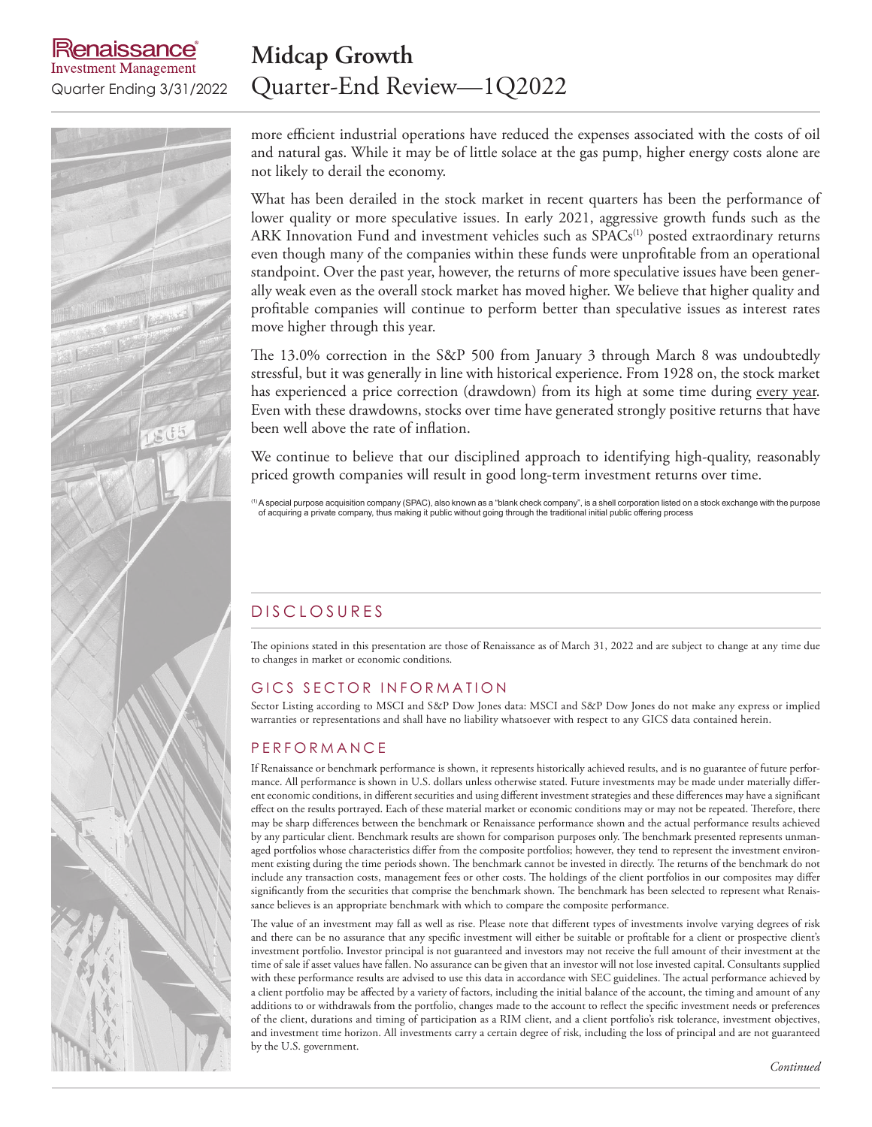## enaissance **Investment Management**

### **Midcap Growth** Quarter Ending 3/31/2022 Quarter-End Review—1Q2022

more efficient industrial operations have reduced the expenses associated with the costs of oil and natural gas. While it may be of little solace at the gas pump, higher energy costs alone are not likely to derail the economy.

What has been derailed in the stock market in recent quarters has been the performance of lower quality or more speculative issues. In early 2021, aggressive growth funds such as the ARK Innovation Fund and investment vehicles such as SPACs<sup>(1)</sup> posted extraordinary returns even though many of the companies within these funds were unprofitable from an operational standpoint. Over the past year, however, the returns of more speculative issues have been generally weak even as the overall stock market has moved higher. We believe that higher quality and profitable companies will continue to perform better than speculative issues as interest rates move higher through this year.

The 13.0% correction in the S&P 500 from January 3 through March 8 was undoubtedly stressful, but it was generally in line with historical experience. From 1928 on, the stock market has experienced a price correction (drawdown) from its high at some time during every year. Even with these drawdowns, stocks over time have generated strongly positive returns that have been well above the rate of inflation.

We continue to believe that our disciplined approach to identifying high-quality, reasonably priced growth companies will result in good long-term investment returns over time.

(1)A special purpose acquisition company (SPAC), also known as a "blank check company", is a shell corporation listed on a stock exchange with the purpose of acquiring a private company, thus making it public without going through the traditional initial public offering process

### D ISCLOSURES

The opinions stated in this presentation are those of Renaissance as of March 31, 2022 and are subject to change at any time due to changes in market or economic conditions.

### GICS SECTOR INFORMATION

Sector Listing according to MSCI and S&P Dow Jones data: MSCI and S&P Dow Jones do not make any express or implied warranties or representations and shall have no liability whatsoever with respect to any GICS data contained herein.

### **PERFORMANCE**

If Renaissance or benchmark performance is shown, it represents historically achieved results, and is no guarantee of future performance. All performance is shown in U.S. dollars unless otherwise stated. Future investments may be made under materially different economic conditions, in different securities and using different investment strategies and these differences may have a significant effect on the results portrayed. Each of these material market or economic conditions may or may not be repeated. Therefore, there may be sharp differences between the benchmark or Renaissance performance shown and the actual performance results achieved by any particular client. Benchmark results are shown for comparison purposes only. The benchmark presented represents unmanaged portfolios whose characteristics differ from the composite portfolios; however, they tend to represent the investment environment existing during the time periods shown. The benchmark cannot be invested in directly. The returns of the benchmark do not include any transaction costs, management fees or other costs. The holdings of the client portfolios in our composites may differ significantly from the securities that comprise the benchmark shown. The benchmark has been selected to represent what Renaissance believes is an appropriate benchmark with which to compare the composite performance.

The value of an investment may fall as well as rise. Please note that different types of investments involve varying degrees of risk and there can be no assurance that any specific investment will either be suitable or profitable for a client or prospective client's investment portfolio. Investor principal is not guaranteed and investors may not receive the full amount of their investment at the time of sale if asset values have fallen. No assurance can be given that an investor will not lose invested capital. Consultants supplied with these performance results are advised to use this data in accordance with SEC guidelines. The actual performance achieved by a client portfolio may be affected by a variety of factors, including the initial balance of the account, the timing and amount of any additions to or withdrawals from the portfolio, changes made to the account to reflect the specific investment needs or preferences of the client, durations and timing of participation as a RIM client, and a client portfolio's risk tolerance, investment objectives, and investment time horizon. All investments carry a certain degree of risk, including the loss of principal and are not guaranteed by the U.S. government.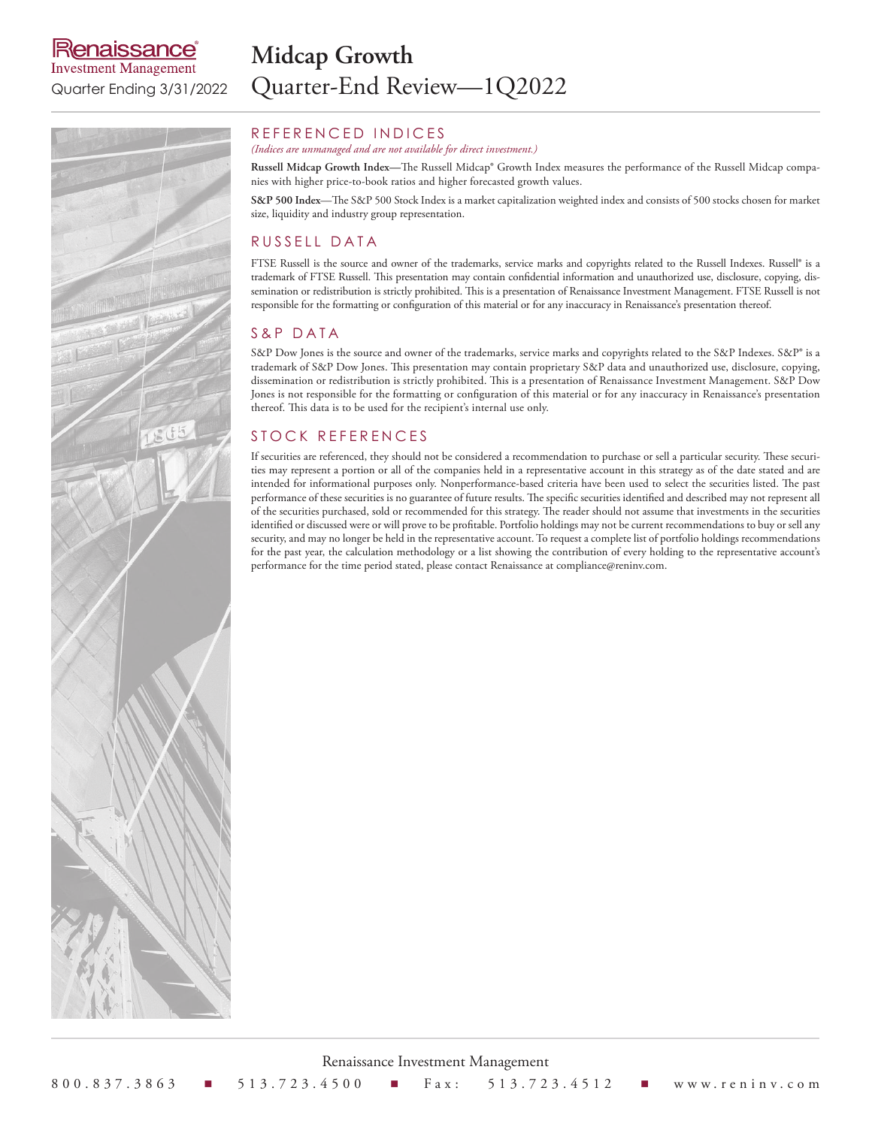### **IRenaissance**®

**Investment Management** 

## **Midcap Growth** Quarter Ending 3/31/2022 Quarter-End Review—1Q2022



#### REFERENCED INDICES

*(Indices are unmanaged and are not available for direct investment.)*

**Russell Midcap Growth Index—**The Russell Midcap® Growth Index measures the performance of the Russell Midcap companies with higher price-to-book ratios and higher forecasted growth values.

**S&P 500 Index**—The S&P 500 Stock Index is a market capitalization weighted index and consists of 500 stocks chosen for market size, liquidity and industry group representation.

#### RUSSELL DATA

FTSE Russell is the source and owner of the trademarks, service marks and copyrights related to the Russell Indexes. Russell® is a trademark of FTSE Russell. This presentation may contain confidential information and unauthorized use, disclosure, copying, dissemination or redistribution is strictly prohibited. This is a presentation of Renaissance Investment Management. FTSE Russell is not responsible for the formatting or configuration of this material or for any inaccuracy in Renaissance's presentation thereof.

#### S&P DATA

S&P Dow Jones is the source and owner of the trademarks, service marks and copyrights related to the S&P Indexes. S&P® is a trademark of S&P Dow Jones. This presentation may contain proprietary S&P data and unauthorized use, disclosure, copying, dissemination or redistribution is strictly prohibited. This is a presentation of Renaissance Investment Management. S&P Dow Jones is not responsible for the formatting or configuration of this material or for any inaccuracy in Renaissance's presentation thereof. This data is to be used for the recipient's internal use only.

#### STOCK REFERENCES

If securities are referenced, they should not be considered a recommendation to purchase or sell a particular security. These securities may represent a portion or all of the companies held in a representative account in this strategy as of the date stated and are intended for informational purposes only. Nonperformance-based criteria have been used to select the securities listed. The past performance of these securities is no guarantee of future results. The specific securities identified and described may not represent all of the securities purchased, sold or recommended for this strategy. The reader should not assume that investments in the securities identified or discussed were or will prove to be profitable. Portfolio holdings may not be current recommendations to buy or sell any security, and may no longer be held in the representative account. To request a complete list of portfolio holdings recommendations for the past year, the calculation methodology or a list showing the contribution of every holding to the representative account's performance for the time period stated, please contact Renaissance at compliance@reninv.com.